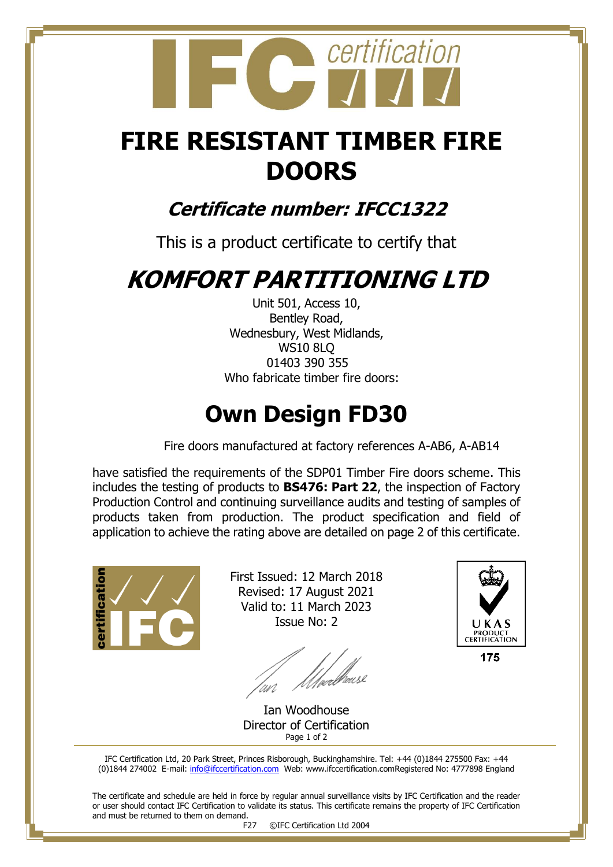# certification

## **FIRE RESISTANT TIMBER FIRE DOORS**

#### **Certificate number: IFCC1322**

This is a product certificate to certify that

## **KOMFORT PARTITIONING LTD**

Unit 501, Access 10, Bentley Road, Wednesbury, West Midlands, WS10 8LQ 01403 390 355 Who fabricate timber fire doors:

### **Own Design FD30**

Fire doors manufactured at factory references A-AB6, A-AB14

have satisfied the requirements of the SDP01 Timber Fire doors scheme. This includes the testing of products to **BS476: Part 22**, the inspection of Factory Production Control and continuing surveillance audits and testing of samples of products taken from production. The product specification and field of application to achieve the rating above are detailed on page 2 of this certificate.

ificatio

First Issued: 12 March 2018 Revised: 17 August 2021 Valid to: 11 March 2023 Issue No: 2

//webbreese



175

Ian Woodhouse Director of Certification Page 1 of 2

IFC Certification Ltd, 20 Park Street, Princes Risborough, Buckinghamshire. Tel: +44 (0)1844 275500 Fax: +44 (0)1844 274002 E-mail[: info@ifccertification.com](mailto:info@ifccertification.com) Web: www.ifccertification.comRegistered No: 4777898 England

The certificate and schedule are held in force by regular annual surveillance visits by IFC Certification and the reader or user should contact IFC Certification to validate its status. This certificate remains the property of IFC Certification and must be returned to them on demand.